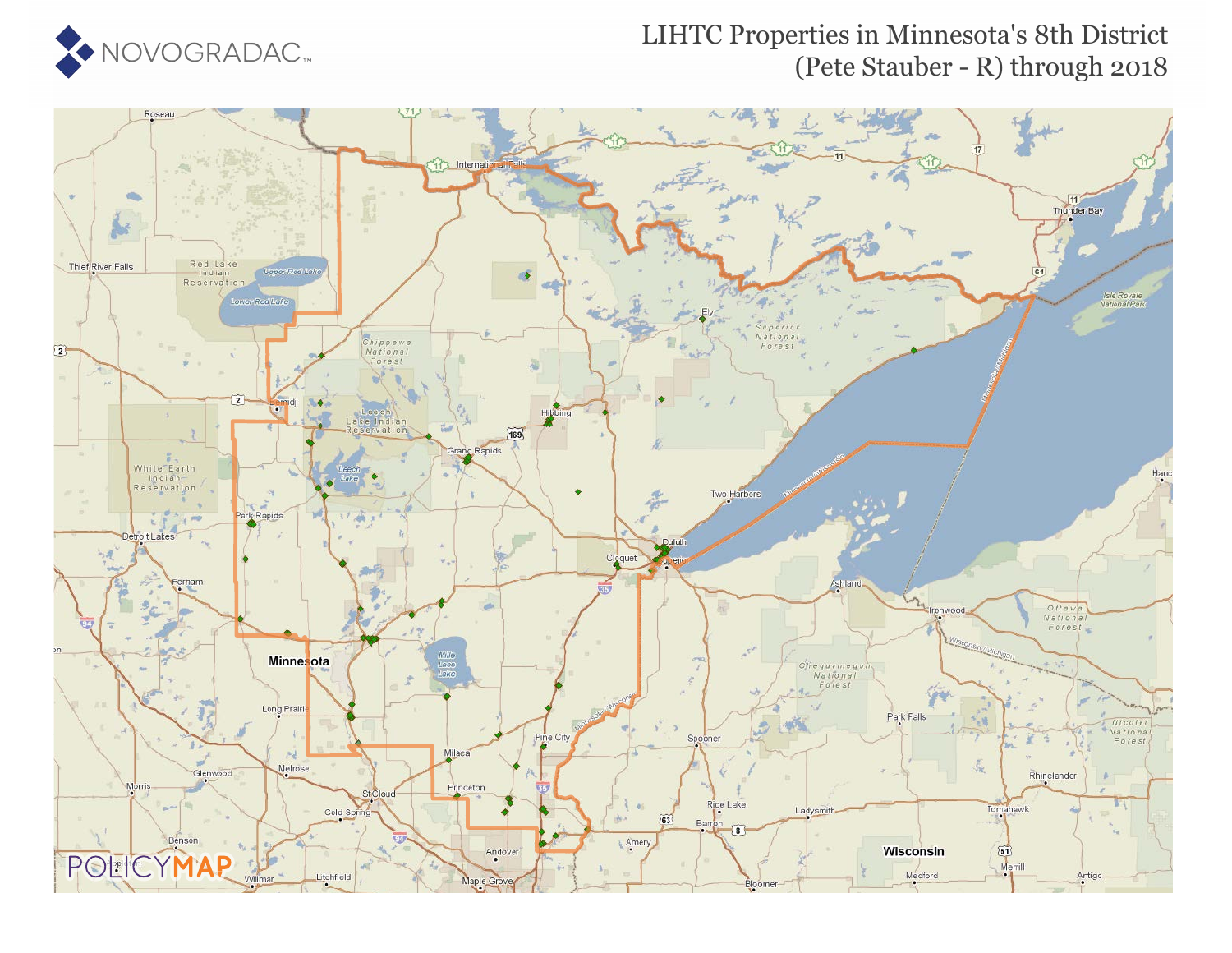

### LIHTC Properties in Minnesota's 8th District (Pete Stauber - R) through 2018

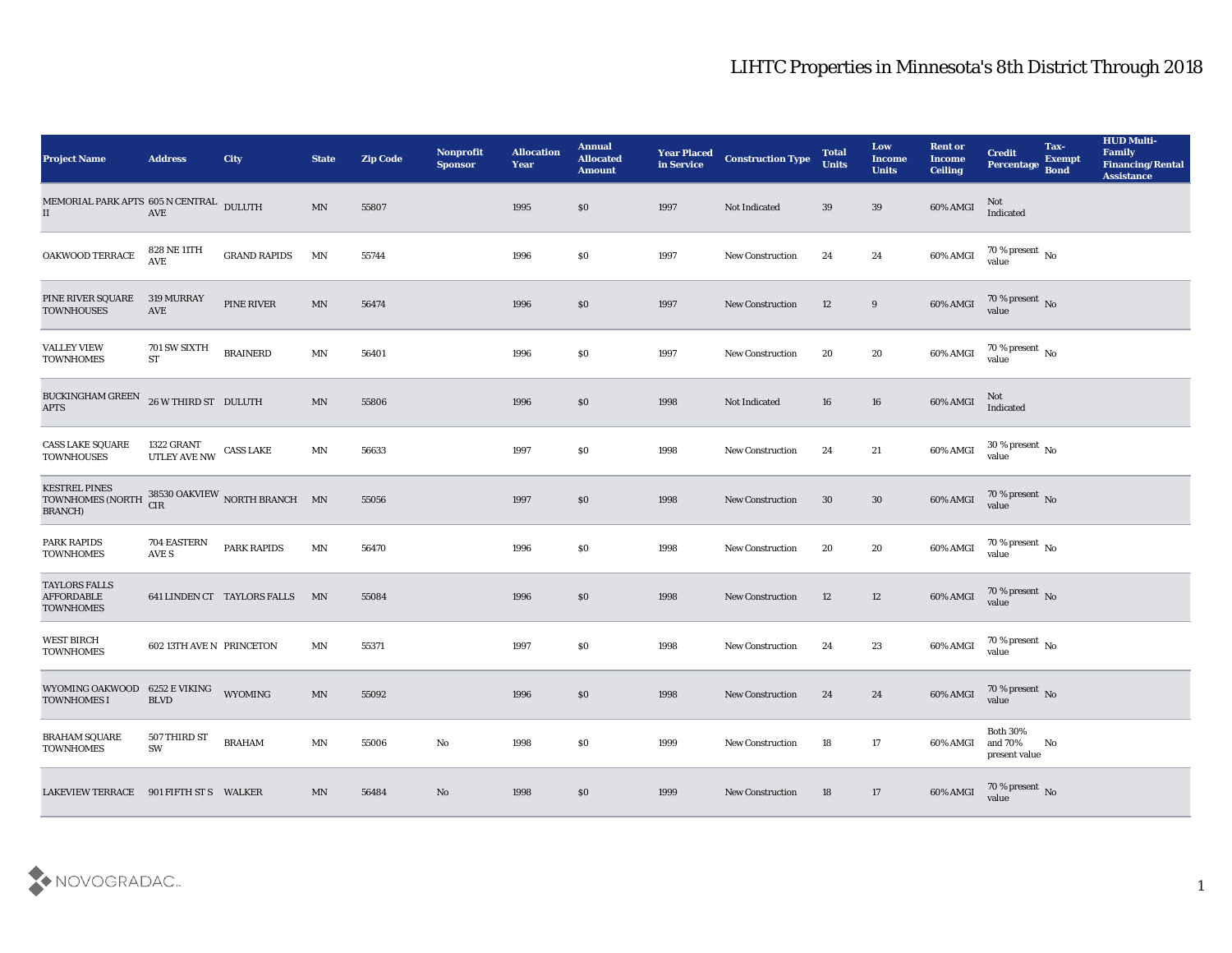| <b>Project Name</b>                                                                      | <b>Address</b>             | <b>City</b>                 | <b>State</b> | <b>Zip Code</b> | <b>Nonprofit</b><br><b>Sponsor</b> | <b>Allocation</b><br><b>Year</b> | <b>Annual</b><br><b>Allocated</b><br><b>Amount</b> | <b>Year Placed</b><br>in Service | <b>Construction Type</b> | <b>Total</b><br><b>Units</b> | Low<br><b>Income</b><br><b>Units</b> | <b>Rent or</b><br><b>Income</b><br><b>Ceiling</b> | <b>Credit</b><br>Percentage                    | Tax-<br><b>Exempt</b><br><b>Bond</b> | <b>HUD Multi-</b><br>Family<br><b>Financing/Rental</b><br><b>Assistance</b> |
|------------------------------------------------------------------------------------------|----------------------------|-----------------------------|--------------|-----------------|------------------------------------|----------------------------------|----------------------------------------------------|----------------------------------|--------------------------|------------------------------|--------------------------------------|---------------------------------------------------|------------------------------------------------|--------------------------------------|-----------------------------------------------------------------------------|
| MEMORIAL PARK APTS 605 N CENTRAL DULUTH<br>$\rm II$                                      | $\operatorname{AVE}$       |                             | MN           | 55807           |                                    | 1995                             | $\$0$                                              | 1997                             | Not Indicated            | 39                           | 39                                   | 60% AMGI                                          | Not<br>Indicated                               |                                      |                                                                             |
| OAKWOOD TERRACE                                                                          | 828 NE 11TH<br>AVE         | <b>GRAND RAPIDS</b>         | MN           | 55744           |                                    | 1996                             | $\$0$                                              | 1997                             | <b>New Construction</b>  | 24                           | 24                                   | 60% AMGI                                          | $70\,\%$ present $\,$ No $\,$<br>value         |                                      |                                                                             |
| PINE RIVER SQUARE<br><b>TOWNHOUSES</b>                                                   | <b>319 MURRAY</b><br>AVE   | PINE RIVER                  | MN           | 56474           |                                    | 1996                             | \$0                                                | 1997                             | <b>New Construction</b>  | 12                           | 9                                    | 60% AMGI                                          | $70\,\%$ present $\,$ No value                 |                                      |                                                                             |
| <b>VALLEY VIEW</b><br><b>TOWNHOMES</b>                                                   | 701 SW SIXTH<br><b>ST</b>  | <b>BRAINERD</b>             | MN           | 56401           |                                    | 1996                             | $\$0$                                              | 1997                             | <b>New Construction</b>  | 20                           | 20                                   | 60% AMGI                                          | $70\,\% \,present \over value$                 |                                      |                                                                             |
| BUCKINGHAM GREEN<br><b>APTS</b>                                                          | 26 W THIRD ST DULUTH       |                             | MN           | 55806           |                                    | 1996                             | $\$0$                                              | 1998                             | Not Indicated            | 16                           | 16                                   | 60% AMGI                                          | Not<br>Indicated                               |                                      |                                                                             |
| <b>CASS LAKE SQUARE</b><br><b>TOWNHOUSES</b>                                             | 1322 GRANT<br>UTLEY AVE NW | <b>CASS LAKE</b>            | MN           | 56633           |                                    | 1997                             | $\$0$                                              | 1998                             | <b>New Construction</b>  | 24                           | 21                                   | 60% AMGI                                          | $30$ % present $\,$ No $\,$<br>value           |                                      |                                                                             |
| <b>KESTREL PINES</b><br>TOWNHOMES (NORTH 38530 OAKVIEW NORTH BRANCH MN<br><b>BRANCH)</b> | <b>CIR</b>                 |                             |              | 55056           |                                    | 1997                             | \$0                                                | 1998                             | <b>New Construction</b>  | 30                           | 30                                   | 60% AMGI                                          | $70\,\%$ present $\,$ No value                 |                                      |                                                                             |
| <b>PARK RAPIDS</b><br><b>TOWNHOMES</b>                                                   | 704 EASTERN<br>AVE S       | <b>PARK RAPIDS</b>          | MN           | 56470           |                                    | 1996                             | \$0                                                | 1998                             | <b>New Construction</b>  | 20                           | 20                                   | 60% AMGI                                          | 70 % present $\,$ No $\,$<br>value             |                                      |                                                                             |
| <b>TAYLORS FALLS</b><br><b>AFFORDABLE</b><br><b>TOWNHOMES</b>                            |                            | 641 LINDEN CT TAYLORS FALLS | MN           | 55084           |                                    | 1996                             | \$0                                                | 1998                             | <b>New Construction</b>  | 12                           | 12                                   | 60% AMGI                                          | $70$ % present $_{\rm No}$ value               |                                      |                                                                             |
| <b>WEST BIRCH</b><br><b>TOWNHOMES</b>                                                    | 602 13TH AVE N PRINCETON   |                             | MN           | 55371           |                                    | 1997                             | $\$0$                                              | 1998                             | <b>New Construction</b>  | 24                           | 23                                   | 60% AMGI                                          | $70\,\%$ present $\,$ No value                 |                                      |                                                                             |
| WYOMING OAKWOOD 6252 E VIKING<br><b>TOWNHOMES I</b>                                      | <b>BLVD</b>                | <b>WYOMING</b>              | MN           | 55092           |                                    | 1996                             | $\$0$                                              | 1998                             | <b>New Construction</b>  | 24                           | 24                                   | 60% AMGI                                          | 70 % present No<br>value                       |                                      |                                                                             |
| <b>BRAHAM SQUARE</b><br><b>TOWNHOMES</b>                                                 | 507 THIRD ST<br>SW         | <b>BRAHAM</b>               | MN           | 55006           | $\rm\, No$                         | 1998                             | $\$0$                                              | 1999                             | <b>New Construction</b>  | 18                           | 17                                   | 60% AMGI                                          | <b>Both 30%</b><br>and $70\%$<br>present value | No                                   |                                                                             |
| LAKEVIEW TERRACE 901 FIFTH ST S WALKER                                                   |                            |                             | MN           | 56484           | No                                 | 1998                             | $\$0$                                              | 1999                             | <b>New Construction</b>  | 18                           | 17                                   | 60% AMGI                                          | 70 % present No<br>value                       |                                      |                                                                             |

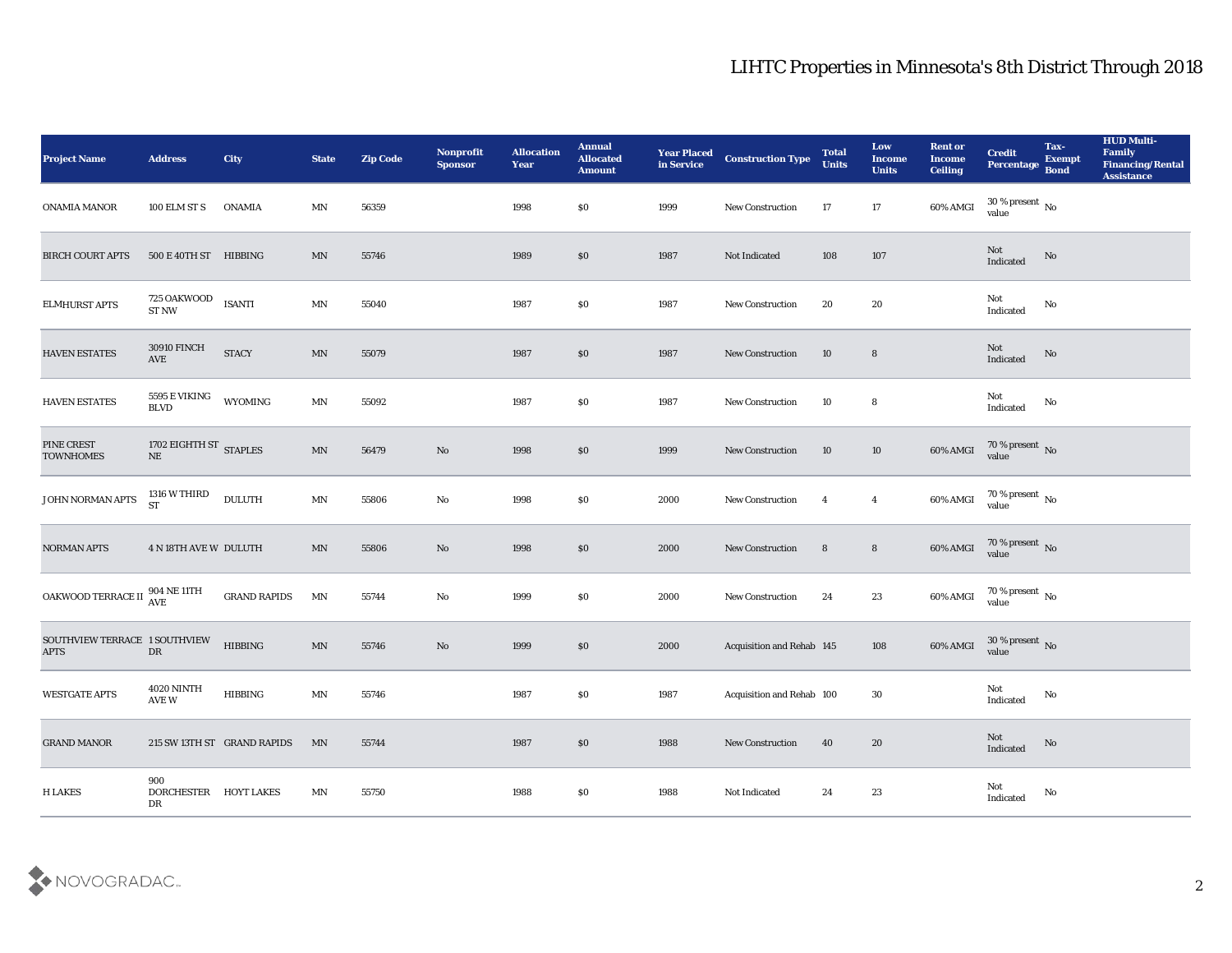| Project Name                                 | <b>Address</b>                              | <b>City</b>                 | <b>State</b>               | <b>Zip Code</b> | Nonprofit<br><b>Sponsor</b> | <b>Allocation</b><br><b>Year</b> | <b>Annual</b><br><b>Allocated</b><br><b>Amount</b> | <b>Year Placed</b><br>in Service | <b>Construction Type</b>  | <b>Total</b><br><b>Units</b> | Low<br><b>Income</b><br><b>Units</b> | <b>Rent or</b><br><b>Income</b><br><b>Ceiling</b> | <b>Credit</b><br>Percentage    | Tax-<br><b>Exempt</b><br><b>Bond</b> | <b>HUD Multi-</b><br>Family<br><b>Financing/Rental</b><br><b>Assistance</b> |
|----------------------------------------------|---------------------------------------------|-----------------------------|----------------------------|-----------------|-----------------------------|----------------------------------|----------------------------------------------------|----------------------------------|---------------------------|------------------------------|--------------------------------------|---------------------------------------------------|--------------------------------|--------------------------------------|-----------------------------------------------------------------------------|
| ONAMIA MANOR                                 | 100 ELM ST S                                | <b>ONAMIA</b>               | MΝ                         | 56359           |                             | 1998                             | $\$0$                                              | 1999                             | <b>New Construction</b>   | 17                           | 17                                   | 60% AMGI                                          | $30\,\%$ present $\,$ No value |                                      |                                                                             |
| <b>BIRCH COURT APTS</b>                      | 500 E 40TH ST HIBBING                       |                             | MN                         | 55746           |                             | 1989                             | $\$0$                                              | 1987                             | Not Indicated             | 108                          | 107                                  |                                                   | Not<br>Indicated               | No                                   |                                                                             |
| ELMHURST APTS                                | 725 OAKWOOD<br><b>ST NW</b>                 | <b>ISANTI</b>               | MN                         | 55040           |                             | 1987                             | \$0                                                | 1987                             | <b>New Construction</b>   | 20                           | 20                                   |                                                   | Not<br>Indicated               | No                                   |                                                                             |
| HAVEN ESTATES                                | <b>30910 FINCH</b><br>AVE                   | <b>STACY</b>                | $\ensuremath{\text{MN}}$   | 55079           |                             | 1987                             | \$0                                                | 1987                             | <b>New Construction</b>   | 10                           | $8\phantom{1}$                       |                                                   | Not<br>Indicated               | No                                   |                                                                             |
| <b>HAVEN ESTATES</b>                         | 5595 E VIKING<br><b>BLVD</b>                | WYOMING                     | $\ensuremath{\text{MN}}$   | 55092           |                             | 1987                             | \$0                                                | 1987                             | <b>New Construction</b>   | 10                           | 8                                    |                                                   | Not<br>Indicated               | No                                   |                                                                             |
| PINE CREST<br><b>TOWNHOMES</b>               | 1702 EIGHTH ST $_{\rm STAPLES}$<br>$\rm NE$ |                             | MN                         | 56479           | No                          | 1998                             | $\$0$                                              | 1999                             | <b>New Construction</b>   | 10                           | 10                                   | 60% AMGI                                          | $70\,\%$ present $\,$ No value |                                      |                                                                             |
| JOHN NORMAN APTS                             | 1316 W THIRD<br><b>ST</b>                   | $\textsc{DULUTH}$           | MN                         | 55806           | No                          | 1998                             | $\$0$                                              | 2000                             | <b>New Construction</b>   | $\overline{4}$               | $\overline{4}$                       | 60% AMGI                                          | $70\,\% \,present \over value$ |                                      |                                                                             |
| <b>NORMAN APTS</b>                           | <b>4 N 18TH AVE W DULUTH</b>                |                             | $\mathbf{M} \mathbf{N}$    | 55806           | No                          | 1998                             | \$0                                                | 2000                             | <b>New Construction</b>   | 8                            | $8\phantom{.0}$                      | 60% AMGI                                          | $70\,\%$ present $\,$ No value |                                      |                                                                             |
| OAKWOOD TERRACE II AVE                       | 904 NE 11TH                                 | <b>GRAND RAPIDS</b>         | MN                         | 55744           | No                          | 1999                             | \$0                                                | 2000                             | <b>New Construction</b>   | 24                           | 23                                   | 60% AMGI                                          | $70\,\%$ present $\;$ No value |                                      |                                                                             |
| SOUTHVIEW TERRACE 1 SOUTHVIEW<br><b>APTS</b> | ${\rm DR}$                                  | <b>HIBBING</b>              | MN                         | 55746           | No                          | 1999                             | $\$0$                                              | 2000                             | Acquisition and Rehab 145 |                              | 108                                  | 60% AMGI                                          | $30\,\%$ present $\,$ No value |                                      |                                                                             |
| <b>WESTGATE APTS</b>                         | <b>4020 NINTH</b><br>AVE W                  | <b>HIBBING</b>              | MN                         | 55746           |                             | 1987                             | \$0                                                | 1987                             | Acquisition and Rehab 100 |                              | 30                                   |                                                   | Not<br>Indicated               | No                                   |                                                                             |
| <b>GRAND MANOR</b>                           |                                             | 215 SW 13TH ST GRAND RAPIDS | MN                         | 55744           |                             | 1987                             | \$0                                                | 1988                             | <b>New Construction</b>   | 40                           | 20                                   |                                                   | Not<br>Indicated               | $\rm No$                             |                                                                             |
| <b>H LAKES</b>                               | 900<br>DORCHESTER HOYT LAKES<br>DR          |                             | $\mathop{\rm MN}\nolimits$ | 55750           |                             | 1988                             | $\$0$                                              | 1988                             | Not Indicated             | 24                           | 23                                   |                                                   | Not<br>Indicated               | $\rm No$                             |                                                                             |

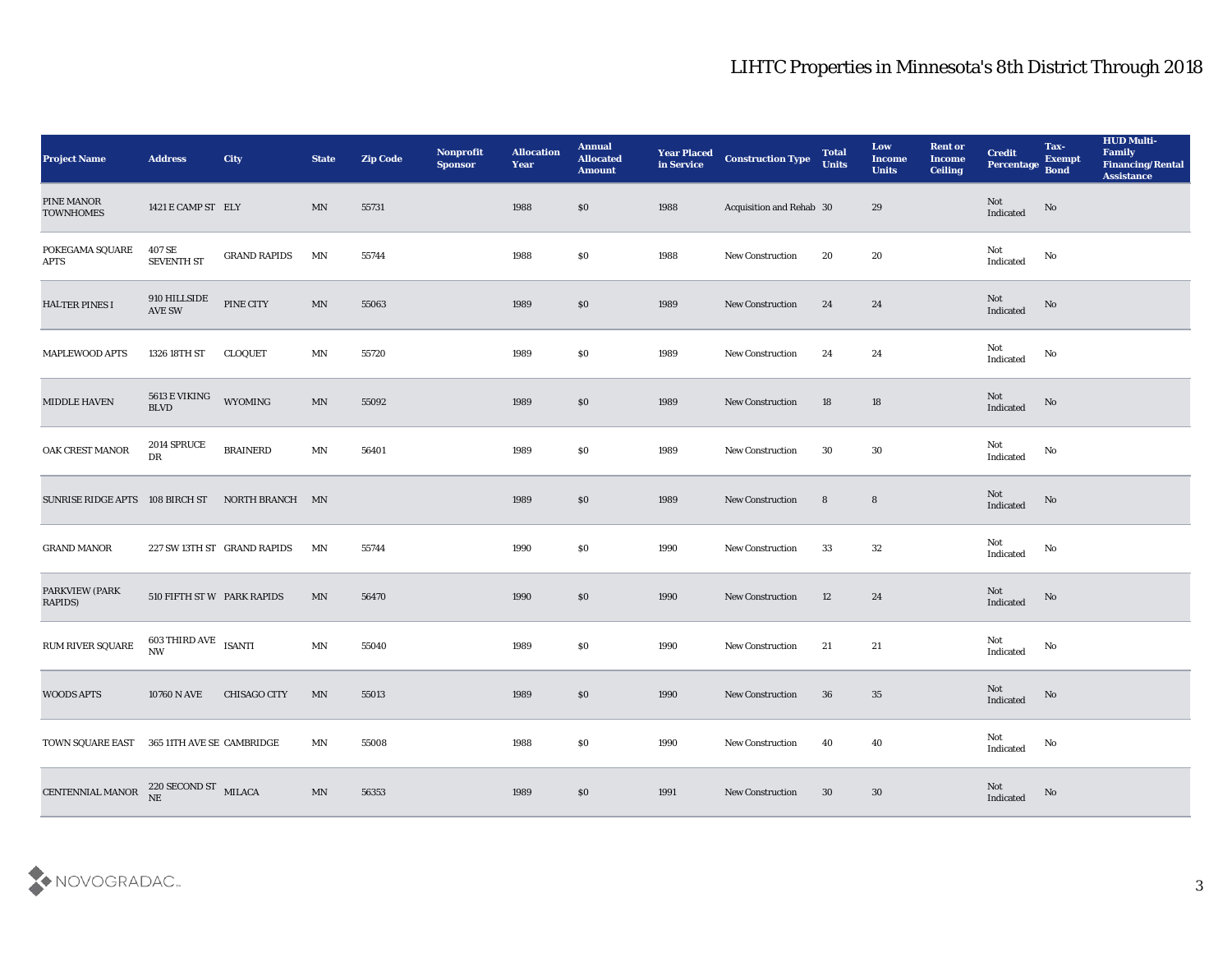| <b>Project Name</b>                             | <b>Address</b>                           | City                        | <b>State</b>               | <b>Zip Code</b> | Nonprofit<br><b>Sponsor</b> | <b>Allocation</b><br>Year | <b>Annual</b><br><b>Allocated</b><br><b>Amount</b> | <b>Year Placed</b><br>in Service | <b>Construction Type</b> | <b>Total</b><br><b>Units</b> | Low<br><b>Income</b><br><b>Units</b> | <b>Rent or</b><br><b>Income</b><br><b>Ceiling</b> | <b>Credit</b><br>Percentage       | Tax-<br><b>Exempt</b><br><b>Bond</b> | <b>HUD Multi-</b><br>Family<br><b>Financing/Rental</b><br><b>Assistance</b> |
|-------------------------------------------------|------------------------------------------|-----------------------------|----------------------------|-----------------|-----------------------------|---------------------------|----------------------------------------------------|----------------------------------|--------------------------|------------------------------|--------------------------------------|---------------------------------------------------|-----------------------------------|--------------------------------------|-----------------------------------------------------------------------------|
| PINE MANOR<br><b>TOWNHOMES</b>                  | 1421 E CAMP ST ELY                       |                             | MN                         | 55731           |                             | 1988                      | \$0                                                | 1988                             | Acquisition and Rehab 30 |                              | 29                                   |                                                   | Not<br>Indicated                  | No                                   |                                                                             |
| POKEGAMA SQUARE<br><b>APTS</b>                  | 407 SE<br>SEVENTH ST                     | <b>GRAND RAPIDS</b>         | MN                         | 55744           |                             | 1988                      | \$0                                                | 1988                             | New Construction         | 20                           | 20                                   |                                                   | Not<br>Indicated                  | No                                   |                                                                             |
| <b>HALTER PINES I</b>                           | 910 HILLSIDE<br><b>AVE SW</b>            | PINE CITY                   | MN                         | 55063           |                             | 1989                      | \$0                                                | 1989                             | <b>New Construction</b>  | 24                           | 24                                   |                                                   | Not<br>Indicated                  | No                                   |                                                                             |
| <b>MAPLEWOOD APTS</b>                           | 1326 18TH ST                             | <b>CLOQUET</b>              | MN                         | 55720           |                             | 1989                      | \$0                                                | 1989                             | New Construction         | 24                           | 24                                   |                                                   | Not<br>$\operatorname{Indicated}$ | No                                   |                                                                             |
| MIDDLE HAVEN                                    | 5613 E VIKING<br><b>BLVD</b>             | WYOMING                     | MN                         | 55092           |                             | 1989                      | \$0                                                | 1989                             | <b>New Construction</b>  | 18                           | 18                                   |                                                   | Not<br>Indicated                  | No                                   |                                                                             |
| OAK CREST MANOR                                 | 2014 SPRUCE<br>DR                        | <b>BRAINERD</b>             | $\mathbf{M} \mathbf{N}$    | 56401           |                             | 1989                      | \$0                                                | 1989                             | New Construction         | 30                           | 30                                   |                                                   | Not<br>Indicated                  | No                                   |                                                                             |
| SUNRISE RIDGE APTS 108 BIRCH ST NORTH BRANCH MN |                                          |                             |                            |                 |                             | 1989                      | \$0                                                | 1989                             | <b>New Construction</b>  | 8                            | $8\phantom{1}$                       |                                                   | Not<br>Indicated                  | No                                   |                                                                             |
| <b>GRAND MANOR</b>                              |                                          | 227 SW 13TH ST GRAND RAPIDS | MΝ                         | 55744           |                             | 1990                      | \$0                                                | 1990                             | <b>New Construction</b>  | 33                           | 32                                   |                                                   | Not<br>Indicated                  | No                                   |                                                                             |
| PARKVIEW (PARK<br><b>RAPIDS</b> )               | 510 FIFTH ST W PARK RAPIDS               |                             | MN                         | 56470           |                             | 1990                      | \$0                                                | 1990                             | New Construction         | 12                           | 24                                   |                                                   | Not<br>Indicated                  | No                                   |                                                                             |
| $\,$ RUM RIVER SQUARE                           | $603$ THIRD AVE $\,$ ISANTI<br><b>NW</b> |                             | $\mathop{\rm MN}\nolimits$ | 55040           |                             | 1989                      | \$0                                                | 1990                             | <b>New Construction</b>  | 21                           | 21                                   |                                                   | Not<br>$\operatorname{Indicated}$ | No                                   |                                                                             |
| <b>WOODS APTS</b>                               | 10760 N AVE                              | <b>CHISAGO CITY</b>         | MN                         | 55013           |                             | 1989                      | \$0                                                | 1990                             | <b>New Construction</b>  | 36                           | 35                                   |                                                   | Not<br>Indicated                  | No                                   |                                                                             |
| TOWN SQUARE EAST 365 11TH AVE SE CAMBRIDGE      |                                          |                             | MN                         | 55008           |                             | 1988                      | $\$0$                                              | 1990                             | New Construction         | 40                           | 40                                   |                                                   | Not<br>Indicated                  | No                                   |                                                                             |
| CENTENNIAL MANOR $^{220}$ SECOND ST MILACA      |                                          |                             | $\mathbf{M} \mathbf{N}$    | 56353           |                             | 1989                      | $\$0$                                              | 1991                             | New Construction         | 30                           | $30\,$                               |                                                   | $\rm Not$ Indicated               | No                                   |                                                                             |

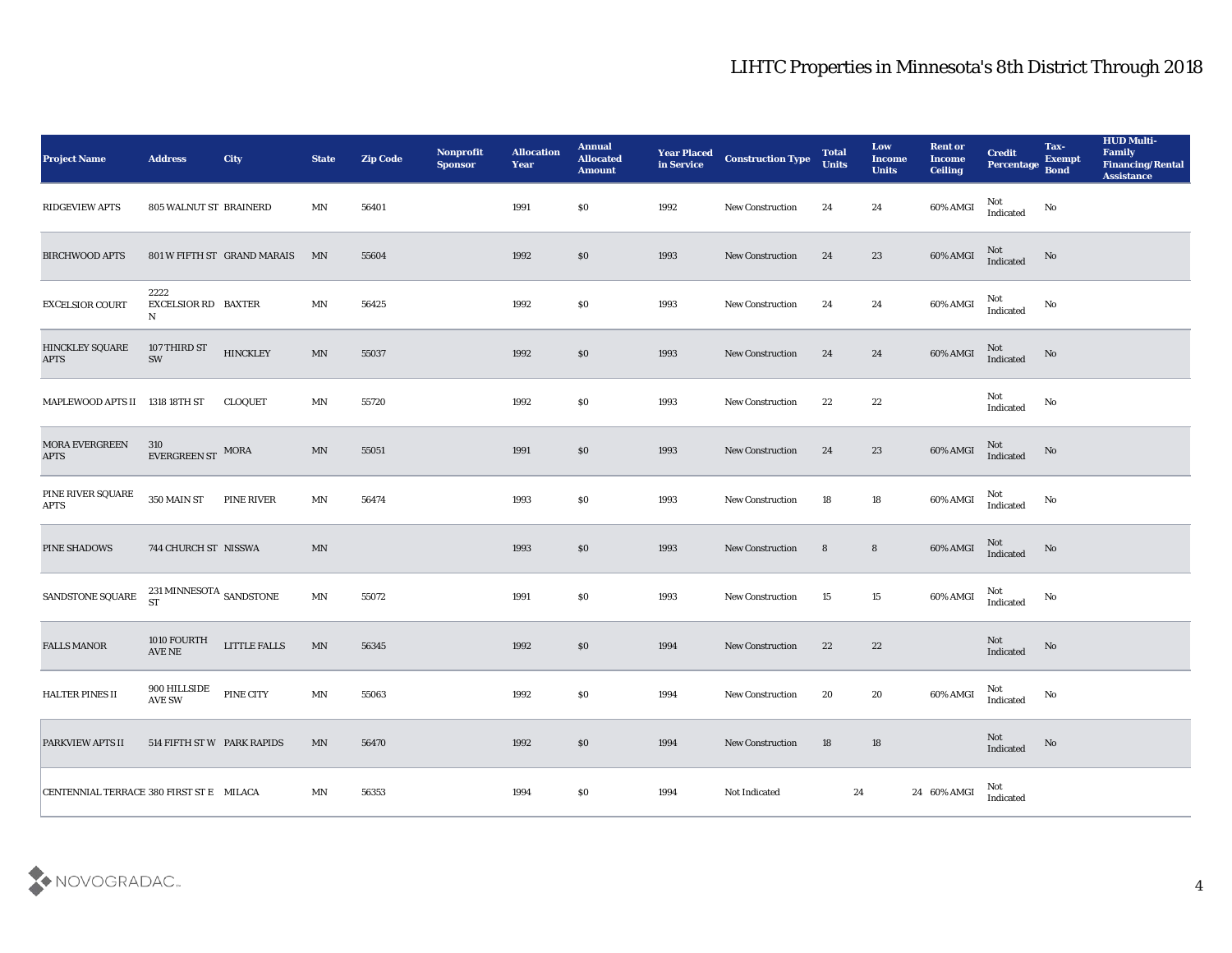| <b>Project Name</b>                      | <b>Address</b>                                    | <b>City</b>                 | <b>State</b>             | <b>Zip Code</b> | Nonprofit<br><b>Sponsor</b> | <b>Allocation</b><br>Year | <b>Annual</b><br><b>Allocated</b><br><b>Amount</b> |      | <b>Year Placed Construction Type</b><br>in Service <b>Construction</b> Type | <b>Total</b><br><b>Units</b> | Low<br><b>Income</b><br><b>Units</b> | <b>Rent or</b><br><b>Income</b><br><b>Ceiling</b> | <b>Credit</b><br><b>Percentage</b> | Tax-<br><b>Exempt</b><br><b>Bond</b> | <b>HUD Multi-</b><br>Family<br><b>Financing/Rental</b><br><b>Assistance</b> |
|------------------------------------------|---------------------------------------------------|-----------------------------|--------------------------|-----------------|-----------------------------|---------------------------|----------------------------------------------------|------|-----------------------------------------------------------------------------|------------------------------|--------------------------------------|---------------------------------------------------|------------------------------------|--------------------------------------|-----------------------------------------------------------------------------|
| <b>RIDGEVIEW APTS</b>                    | 805 WALNUT ST BRAINERD                            |                             | MΝ                       | 56401           |                             | 1991                      | \$0                                                | 1992 | <b>New Construction</b>                                                     | 24                           | 24                                   | 60% AMGI                                          | Not<br>Indicated                   | No                                   |                                                                             |
| <b>BIRCHWOOD APTS</b>                    |                                                   | 801 W FIFTH ST GRAND MARAIS | MN                       | 55604           |                             | 1992                      | \$0                                                | 1993 | <b>New Construction</b>                                                     | 24                           | 23                                   | 60% AMGI                                          | Not<br>Indicated                   | No                                   |                                                                             |
| <b>EXCELSIOR COURT</b>                   | 2222<br><b>EXCELSIOR RD BAXTER</b><br>$\mathbf N$ |                             | MΝ                       | 56425           |                             | 1992                      | \$0                                                | 1993 | New Construction                                                            | 24                           | 24                                   | 60% AMGI                                          | Not<br>Indicated                   | No                                   |                                                                             |
| HINCKLEY SQUARE<br><b>APTS</b>           | 107 THIRD ST<br>SW                                | <b>HINCKLEY</b>             | MN                       | 55037           |                             | 1992                      | \$0                                                | 1993 | <b>New Construction</b>                                                     | 24                           | 24                                   | $60\%$ AMGI                                       | Not<br>Indicated                   | No                                   |                                                                             |
| MAPLEWOOD APTS II 1318 18TH ST           |                                                   | CLOQUET                     | MΝ                       | 55720           |                             | 1992                      | \$0                                                | 1993 | <b>New Construction</b>                                                     | 22                           | 22                                   |                                                   | Not<br>Indicated                   | No                                   |                                                                             |
| MORA EVERGREEN<br><b>APTS</b>            | 310<br>EVERGREEN ST MORA                          |                             | MN                       | 55051           |                             | 1991                      | \$0                                                | 1993 | <b>New Construction</b>                                                     | 24                           | 23                                   | 60% AMGI                                          | Not<br>Indicated                   | No                                   |                                                                             |
| PINE RIVER SQUARE<br><b>APTS</b>         | 350 MAIN ST                                       | PINE RIVER                  | MΝ                       | 56474           |                             | 1993                      | \$0                                                | 1993 | New Construction                                                            | 18                           | 18                                   | 60% AMGI                                          | Not<br>Indicated                   | No                                   |                                                                             |
| PINE SHADOWS                             | 744 CHURCH ST NISSWA                              |                             | MN                       |                 |                             | 1993                      | \$0                                                | 1993 | <b>New Construction</b>                                                     | 8                            | $8\phantom{.0}$                      | $60\%$ AMGI                                       | Not<br>Indicated                   | No                                   |                                                                             |
| SANDSTONE SQUARE                         | 231 MINNESOTA $_{\rm SANDSTONE}$<br><b>ST</b>     |                             | $\ensuremath{\text{MN}}$ | 55072           |                             | 1991                      | \$0                                                | 1993 | <b>New Construction</b>                                                     | 15                           | 15                                   | 60% AMGI                                          | Not<br>Indicated                   | No                                   |                                                                             |
| <b>FALLS MANOR</b>                       | 1010 FOURTH<br>$\operatorname{AVE}$ NE            | <b>LITTLE FALLS</b>         | MN                       | 56345           |                             | 1992                      | \$0                                                | 1994 | <b>New Construction</b>                                                     | 22                           | 22                                   |                                                   | Not<br>Indicated                   | No                                   |                                                                             |
| HALTER PINES II                          | 900 HILLSIDE<br>$\operatorname{AVE}$ SW           | PINE CITY                   | MN                       | 55063           |                             | 1992                      | \$0                                                | 1994 | New Construction                                                            | 20                           | 20                                   | 60% AMGI                                          | Not<br>Indicated                   | No                                   |                                                                             |
| PARKVIEW APTS II                         | 514 FIFTH ST W PARK RAPIDS                        |                             | MN                       | 56470           |                             | 1992                      | $\$0$                                              | 1994 | <b>New Construction</b>                                                     | 18                           | $18\,$                               |                                                   | Not<br>Indicated                   | $\rm No$                             |                                                                             |
| CENTENNIAL TERRACE 380 FIRST ST E MILACA |                                                   |                             | $\mathbf{M} \mathbf{N}$  | 56353           |                             | 1994                      | $\$0$                                              | 1994 | Not Indicated                                                               | 24                           |                                      | 24 60% AMGI                                       | Not<br>Indicated                   |                                      |                                                                             |

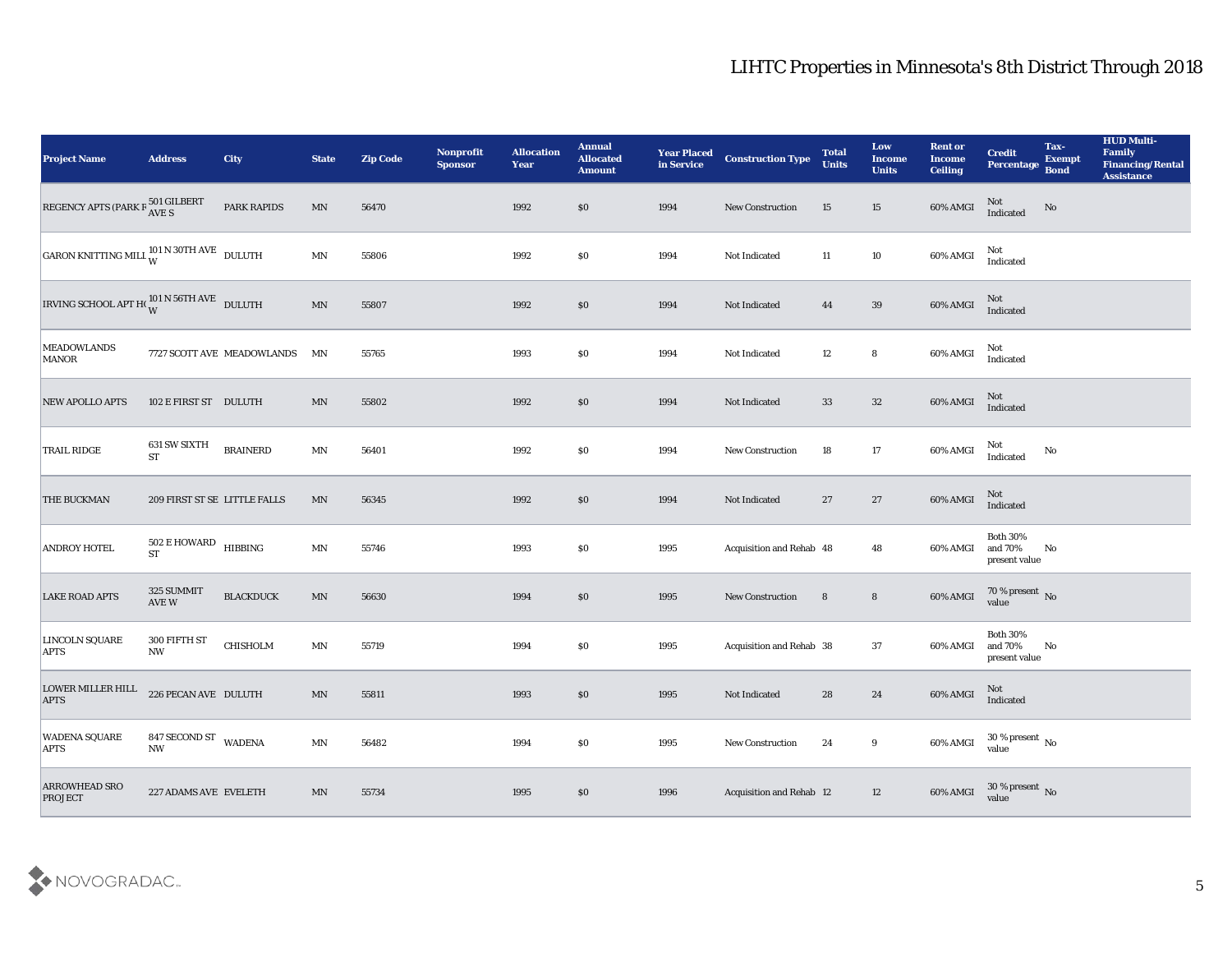| <b>Project Name</b>                                          | <b>Address</b>                              | <b>City</b>                | <b>State</b>               | <b>Zip Code</b> | Nonprofit<br><b>Sponsor</b> | <b>Allocation</b><br><b>Year</b> | <b>Annual</b><br><b>Allocated</b><br><b>Amount</b> | <b>Year Placed</b><br>in Service | <b>Construction Type</b> | <b>Total</b><br><b>Units</b> | Low<br><b>Income</b><br><b>Units</b> | <b>Rent or</b><br><b>Income</b><br><b>Ceiling</b> | <b>Credit</b><br>Percentage                 | Tax-<br><b>Exempt</b><br><b>Bond</b> | <b>HUD Multi-</b><br>Family<br><b>Financing/Rental</b><br><b>Assistance</b> |
|--------------------------------------------------------------|---------------------------------------------|----------------------------|----------------------------|-----------------|-----------------------------|----------------------------------|----------------------------------------------------|----------------------------------|--------------------------|------------------------------|--------------------------------------|---------------------------------------------------|---------------------------------------------|--------------------------------------|-----------------------------------------------------------------------------|
| REGENCY APTS (PARK $R\frac{501}{\text{AVE S}}$               |                                             | PARK RAPIDS                | MN                         | 56470           |                             | 1992                             | \$0                                                | 1994                             | <b>New Construction</b>  | 15                           | 15                                   | 60% AMGI                                          | Not<br>Indicated                            | No                                   |                                                                             |
| GARON KNITTING MILL $^{101}_{\rm W}$ N 30TH AVE DULUTH       |                                             |                            | $\mathbf{M} \mathbf{N}$    | 55806           |                             | 1992                             | \$0                                                | 1994                             | Not Indicated            | 11                           | 10                                   | 60% AMGI                                          | Not<br>Indicated                            |                                      |                                                                             |
| IRVING SCHOOL APT H( $_{\rm W}^{\rm 101\,N}$ 56TH AVE DULUTH |                                             |                            | $\mathop{\rm MN}\nolimits$ | 55807           |                             | 1992                             | \$0                                                | 1994                             | Not Indicated            | 44                           | 39                                   | $60\%$ AMGI                                       | Not<br>Indicated                            |                                      |                                                                             |
| <b>MEADOWLANDS</b><br><b>MANOR</b>                           |                                             | 7727 SCOTT AVE MEADOWLANDS | MN                         | 55765           |                             | 1993                             | \$0                                                | 1994                             | Not Indicated            | 12                           | 8                                    | 60% AMGI                                          | Not<br>Indicated                            |                                      |                                                                             |
| <b>NEW APOLLO APTS</b>                                       | 102 E FIRST ST DULUTH                       |                            | MN                         | 55802           |                             | 1992                             | \$0                                                | 1994                             | Not Indicated            | 33                           | 32                                   | 60% AMGI                                          | Not<br>Indicated                            |                                      |                                                                             |
| <b>TRAIL RIDGE</b>                                           | 631 SW SIXTH<br><b>ST</b>                   | <b>BRAINERD</b>            | MN                         | 56401           |                             | 1992                             | \$0                                                | 1994                             | <b>New Construction</b>  | 18                           | 17                                   | 60% AMGI                                          | Not<br>Indicated                            | No                                   |                                                                             |
| <b>THE BUCKMAN</b>                                           | 209 FIRST ST SE LITTLE FALLS                |                            | MN                         | 56345           |                             | 1992                             | \$0                                                | 1994                             | Not Indicated            | 27                           | 27                                   | 60% AMGI                                          | Not<br>Indicated                            |                                      |                                                                             |
| <b>ANDROY HOTEL</b>                                          | $502$ E HOWARD $$\tt HIBBING$$<br><b>ST</b> |                            | $\mathbf{M} \mathbf{N}$    | 55746           |                             | 1993                             | \$0                                                | 1995                             | Acquisition and Rehab 48 |                              | 48                                   | 60% AMGI                                          | <b>Both 30%</b><br>and 70%<br>present value | No                                   |                                                                             |
| <b>LAKE ROAD APTS</b>                                        | 325 SUMMIT<br>AVE W                         | <b>BLACKDUCK</b>           | MN                         | 56630           |                             | 1994                             | \$0                                                | 1995                             | <b>New Construction</b>  | 8                            | 8                                    | 60% AMGI                                          | $70$ % present $_{\rm No}$ value            |                                      |                                                                             |
| LINCOLN SQUARE<br><b>APTS</b>                                | 300 FIFTH ST<br><b>NW</b>                   | CHISHOLM                   | $\mathbf{M} \mathbf{N}$    | 55719           |                             | 1994                             | \$0                                                | 1995                             | Acquisition and Rehab 38 |                              | 37                                   | 60% AMGI                                          | Both $30\%$<br>and 70%<br>present value     | No                                   |                                                                             |
| <b>LOWER MILLER HILL</b><br><b>APTS</b>                      | 226 PECAN AVE DULUTH                        |                            | MN                         | 55811           |                             | 1993                             | \$0                                                | 1995                             | Not Indicated            | 28                           | 24                                   | 60% AMGI                                          | Not<br>Indicated                            |                                      |                                                                             |
| <b>WADENA SQUARE</b><br><b>APTS</b>                          | 847 SECOND ST WADENA<br><b>NW</b>           |                            | $\mathbf{M} \mathbf{N}$    | 56482           |                             | 1994                             | \$0\$                                              | 1995                             | New Construction         | 24                           | 9                                    | 60% AMGI                                          | $30\,\%$ present $\,$ No value              |                                      |                                                                             |
| <b>ARROWHEAD SRO</b><br><b>PROJECT</b>                       | 227 ADAMS AVE EVELETH                       |                            | $\mathbf{M} \mathbf{N}$    | 55734           |                             | 1995                             | \$0                                                | 1996                             | Acquisition and Rehab 12 |                              | $12\,$                               | 60% AMGI                                          | $30\,\%$ present $\,$ No value              |                                      |                                                                             |

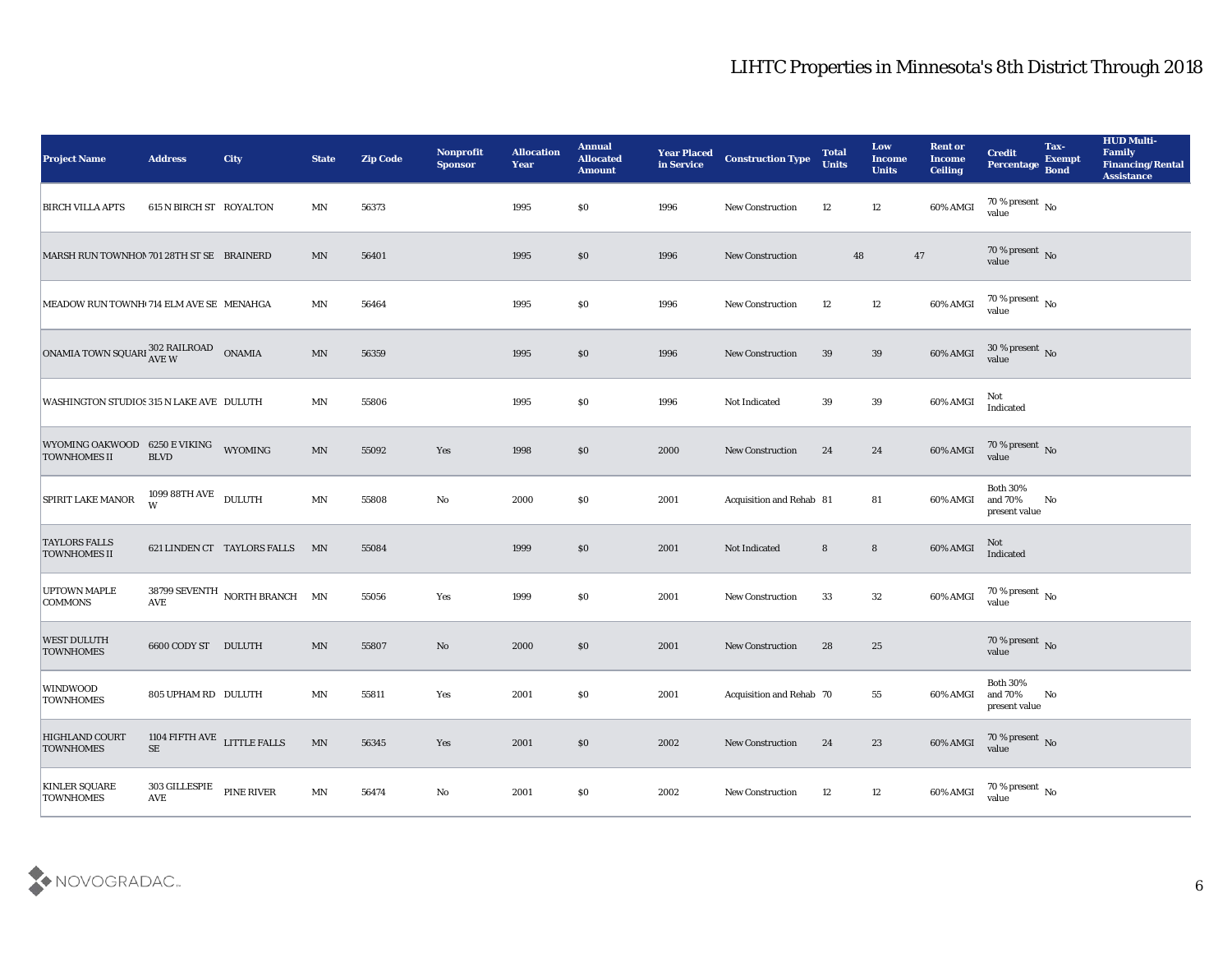| <b>Project Name</b>                                  | <b>Address</b>                                                       | <b>City</b>                   | <b>State</b>             | <b>Zip Code</b> | Nonprofit<br><b>Sponsor</b> | <b>Allocation</b><br><b>Year</b> | <b>Annual</b><br><b>Allocated</b><br><b>Amount</b> | <b>Year Placed</b><br>in Service | <b>Construction Type</b>        | <b>Total</b><br><b>Units</b> | Low<br><b>Income</b><br><b>Units</b> | <b>Rent or</b><br><b>Income</b><br><b>Ceiling</b> | <b>Credit</b><br>Percentage                 | Tax-<br><b>Exempt</b><br><b>Bond</b> | <b>HUD Multi-</b><br>Family<br><b>Financing/Rental</b><br><b>Assistance</b> |
|------------------------------------------------------|----------------------------------------------------------------------|-------------------------------|--------------------------|-----------------|-----------------------------|----------------------------------|----------------------------------------------------|----------------------------------|---------------------------------|------------------------------|--------------------------------------|---------------------------------------------------|---------------------------------------------|--------------------------------------|-----------------------------------------------------------------------------|
| <b>BIRCH VILLA APTS</b>                              | 615 N BIRCH ST ROYALTON                                              |                               | MN                       | 56373           |                             | 1995                             | \$0                                                | 1996                             | New Construction                | 12                           | 12                                   | 60% AMGI                                          | 70 % present No<br>value                    |                                      |                                                                             |
| MARSH RUN TOWNHON 701 28TH ST SE BRAINERD            |                                                                      |                               | MN                       | 56401           |                             | 1995                             | \$0                                                | 1996                             | <b>New Construction</b>         |                              | 48<br>47                             |                                                   | $70\,\%$ present $\,$ No value              |                                      |                                                                             |
| MEADOW RUN TOWNH 714 ELM AVE SE MENAHGA              |                                                                      |                               | MN                       | 56464           |                             | 1995                             | \$0                                                | 1996                             | <b>New Construction</b>         | 12                           | 12                                   | 60% AMGI                                          | 70 % present No<br>value                    |                                      |                                                                             |
| ONAMIA TOWN SQUARI 302 RAILROAD                      |                                                                      | <b>ONAMIA</b>                 | $\ensuremath{\text{MN}}$ | 56359           |                             | 1995                             | \$0                                                | 1996                             | <b>New Construction</b>         | 39                           | 39                                   | 60% AMGI                                          | $30\,\%$ present $\,$ No value              |                                      |                                                                             |
| WASHINGTON STUDIOS 315 N LAKE AVE DULUTH             |                                                                      |                               | MN                       | 55806           |                             | 1995                             | \$0                                                | 1996                             | Not Indicated                   | 39                           | 39                                   | 60% AMGI                                          | Not<br>Indicated                            |                                      |                                                                             |
| WYOMING OAKWOOD 6250 E VIKING<br><b>TOWNHOMES II</b> | <b>BLVD</b>                                                          | WYOMING                       | $\ensuremath{\text{MN}}$ | 55092           | Yes                         | 1998                             | \$0                                                | 2000                             | New Construction                | 24                           | 24                                   | 60% AMGI                                          | $70$ % present $_{\rm{No}}$ $_{\rm{value}}$ |                                      |                                                                             |
| SPIRIT LAKE MANOR                                    | $1099\,88\mathrm{TH\,AVE}$ DULUTH<br>W                               |                               | $\mbox{MN}$              | 55808           | No                          | 2000                             | \$0                                                | 2001                             | Acquisition and Rehab 81        |                              | 81                                   | 60% AMGI                                          | <b>Both 30%</b><br>and 70%<br>present value | No                                   |                                                                             |
| <b>TAYLORS FALLS</b><br><b>TOWNHOMES II</b>          |                                                                      | 621 LINDEN CT TAYLORS FALLS   | MN                       | 55084           |                             | 1999                             | \$0                                                | 2001                             | Not Indicated                   | 8                            | $\bf 8$                              | 60% AMGI                                          | Not<br>Indicated                            |                                      |                                                                             |
| <b>UPTOWN MAPLE</b><br><b>COMMONS</b>                | <b>AVE</b>                                                           | 38799 SEVENTH NORTH BRANCH MN |                          | 55056           | Yes                         | 1999                             | \$0                                                | 2001                             | <b>New Construction</b>         | 33                           | 32                                   | 60% AMGI                                          | 70 % present No<br>value                    |                                      |                                                                             |
| <b>WEST DULUTH</b><br><b>TOWNHOMES</b>               | 6600 CODY ST DULUTH                                                  |                               | $\ensuremath{\text{MN}}$ | 55807           | No                          | 2000                             | \$0                                                | 2001                             | <b>New Construction</b>         | 28                           | 25                                   |                                                   | $70\,\%$ present $\,$ No value              |                                      |                                                                             |
| <b>WINDWOOD</b><br><b>TOWNHOMES</b>                  | 805 UPHAM RD DULUTH                                                  |                               | MN                       | 55811           | Yes                         | 2001                             | \$0                                                | 2001                             | <b>Acquisition and Rehab 70</b> |                              | 55                                   | 60% AMGI                                          | <b>Both 30%</b><br>and 70%<br>present value | No                                   |                                                                             |
| HIGHLAND COURT<br><b>TOWNHOMES</b>                   | 1104 FIFTH AVE LITTLE FALLS<br>$\rm SE$                              |                               | $\ensuremath{\text{MN}}$ | 56345           | Yes                         | 2001                             | \$0                                                | 2002                             | <b>New Construction</b>         | 24                           | 23                                   | 60% AMGI                                          | $70\,\%$ present $\,$ No value              |                                      |                                                                             |
| <b>KINLER SQUARE</b><br><b>TOWNHOMES</b>             | $303$ GILLESPIE $$\tt PINE\ RIVER$$<br>$\operatorname{\mathbf{AVE}}$ |                               | $\mathbf{M} \mathbf{N}$  | 56474           | $\mathbf {No}$              | 2001                             | $\$0$                                              | 2002                             | New Construction                | 12                           | 12                                   | 60% AMGI                                          | $70\,\% \,present \over value$              |                                      |                                                                             |
|                                                      |                                                                      |                               |                          |                 |                             |                                  |                                                    |                                  |                                 |                              |                                      |                                                   |                                             |                                      |                                                                             |

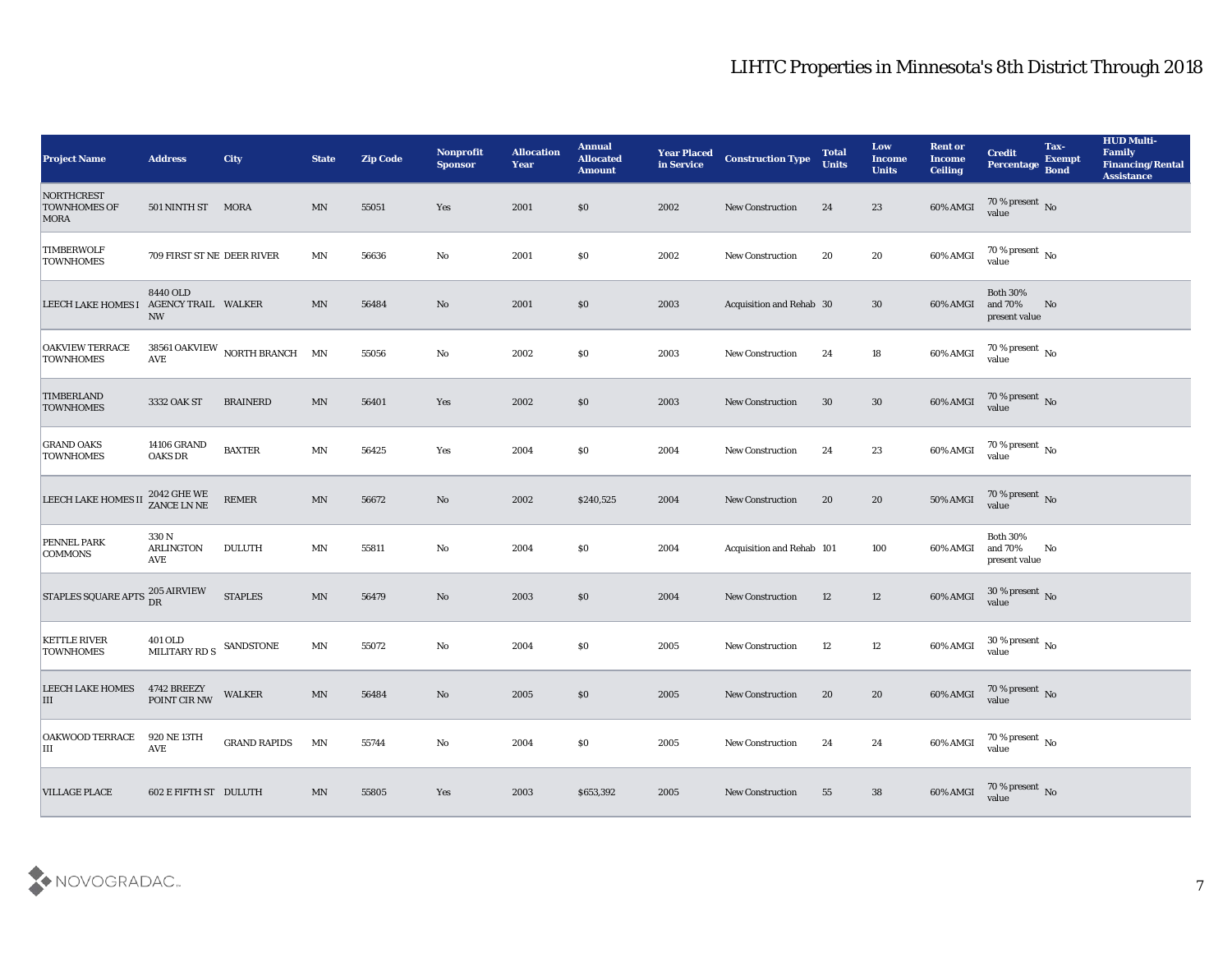| <b>Project Name</b>                              | <b>Address</b>                       | <b>City</b>                   | <b>State</b>             | <b>Zip Code</b> | <b>Nonprofit</b><br><b>Sponsor</b> | <b>Allocation</b><br><b>Year</b> | <b>Annual</b><br><b>Allocated</b><br><b>Amount</b> | <b>Year Placed</b><br>in Service | <b>Construction Type</b>  | <b>Total</b><br><b>Units</b> | Low<br><b>Income</b><br><b>Units</b> | <b>Rent or</b><br><b>Income</b><br><b>Ceiling</b> | <b>Credit</b><br>Percentage                 | Tax-<br><b>Exempt</b><br><b>Bond</b> | <b>HUD Multi-</b><br>Family<br><b>Financing/Rental</b><br><b>Assistance</b> |
|--------------------------------------------------|--------------------------------------|-------------------------------|--------------------------|-----------------|------------------------------------|----------------------------------|----------------------------------------------------|----------------------------------|---------------------------|------------------------------|--------------------------------------|---------------------------------------------------|---------------------------------------------|--------------------------------------|-----------------------------------------------------------------------------|
| NORTHCREST<br><b>TOWNHOMES OF</b><br><b>MORA</b> | 501 NINTH ST MORA                    |                               | MN                       | 55051           | Yes                                | 2001                             | $\$0$                                              | 2002                             | <b>New Construction</b>   | 24                           | 23                                   | 60% AMGI                                          | $70\,\%$ present $\,$ No value              |                                      |                                                                             |
| <b>TIMBERWOLF</b><br><b>TOWNHOMES</b>            | 709 FIRST ST NE DEER RIVER           |                               | MN                       | 56636           | No                                 | 2001                             | \$0                                                | 2002                             | <b>New Construction</b>   | 20                           | 20                                   | 60% AMGI                                          | $70\,\%$ present $\,$ No value              |                                      |                                                                             |
| LEECH LAKE HOMES I AGENCY TRAIL WALKER           | 8440 OLD<br><b>NW</b>                |                               | $\ensuremath{\text{MN}}$ | 56484           | No                                 | 2001                             | $\$0$                                              | 2003                             | Acquisition and Rehab 30  |                              | 30                                   | 60% AMGI                                          | <b>Both 30%</b><br>and 70%<br>present value | No                                   |                                                                             |
| <b>OAKVIEW TERRACE</b><br><b>TOWNHOMES</b>       | AVE                                  | 38561 OAKVIEW NORTH BRANCH MN |                          | 55056           | No                                 | 2002                             | \$0\$                                              | 2003                             | New Construction          | 24                           | 18                                   | 60% AMGI                                          | $70\,\%$ present $\,$ No value              |                                      |                                                                             |
| <b>TIMBERLAND</b><br><b>TOWNHOMES</b>            | 3332 OAK ST                          | <b>BRAINERD</b>               | MN                       | 56401           | Yes                                | 2002                             | $\$0$                                              | 2003                             | <b>New Construction</b>   | 30                           | 30                                   | 60% AMGI                                          | $70\,\%$ present $\,$ No value              |                                      |                                                                             |
| <b>GRAND OAKS</b><br><b>TOWNHOMES</b>            | <b>14106 GRAND</b><br><b>OAKS DR</b> | <b>BAXTER</b>                 | $\ensuremath{\text{MN}}$ | 56425           | Yes                                | 2004                             | \$0\$                                              | 2004                             | <b>New Construction</b>   | 24                           | 23                                   | 60% AMGI                                          | $70\,\%$ present $\,$ No value              |                                      |                                                                             |
| LEECH LAKE HOMES II                              | 2042 GHE WE<br>ZANCE LN NE           | $\ensuremath{\mathsf{REMER}}$ | $\ensuremath{\text{MN}}$ | 56672           | No                                 | 2002                             | \$240,525                                          | 2004                             | <b>New Construction</b>   | 20                           | 20                                   | 50% AMGI                                          | $70\,\%$ present $\,$ No value              |                                      |                                                                             |
| <b>PENNEL PARK</b><br><b>COMMONS</b>             | 330 N<br>ARLINGTON<br><b>AVE</b>     | <b>DULUTH</b>                 | $\textsf{M}\textsf{N}$   | 55811           | No                                 | 2004                             | \$0\$                                              | 2004                             | Acquisition and Rehab 101 |                              | 100                                  | 60% AMGI                                          | <b>Both 30%</b><br>and 70%<br>present value | No                                   |                                                                             |
| <b>STAPLES SQUARE APTS</b>                       | 205 AIRVIEW<br>DR                    | <b>STAPLES</b>                | MN                       | 56479           | No                                 | 2003                             | \$0                                                | 2004                             | <b>New Construction</b>   | 12                           | 12                                   | 60% AMGI                                          | $30\,\%$ present $\,$ No value              |                                      |                                                                             |
| <b>KETTLE RIVER</b><br><b>TOWNHOMES</b>          | 401 OLD<br>MILITARY RD S             | SANDSTONE                     | $\mathbf{M} \mathbf{N}$  | 55072           | No                                 | 2004                             | \$0\$                                              | 2005                             | <b>New Construction</b>   | 12                           | 12                                   | 60% AMGI                                          | $30\,\%$ present $\,$ No value              |                                      |                                                                             |
| LEECH LAKE HOMES<br>III                          | 4742 BREEZY<br>POINT CIR NW          | <b>WALKER</b>                 | MN                       | 56484           | No                                 | 2005                             | \$0\$                                              | 2005                             | <b>New Construction</b>   | 20                           | 20                                   | 60% AMGI                                          | 70 % present No<br>value                    |                                      |                                                                             |
| OAKWOOD TERRACE 920 NE 13TH<br>IШ                | <b>AVE</b>                           | <b>GRAND RAPIDS</b>           | MN                       | 55744           | $\mathbf {No}$                     | 2004                             | \$0                                                | 2005                             | New Construction          | 24                           | 24                                   | 60% AMGI                                          | $70\,\%$ present $\,$ No value              |                                      |                                                                             |
| <b>VILLAGE PLACE</b>                             | 602 E FIFTH ST DULUTH                |                               | $\ensuremath{\text{MN}}$ | 55805           | Yes                                | 2003                             | \$653,392                                          | 2005                             | <b>New Construction</b>   | 55                           | 38                                   | 60% AMGI                                          | $70\,\%$ present $\,$ No value              |                                      |                                                                             |

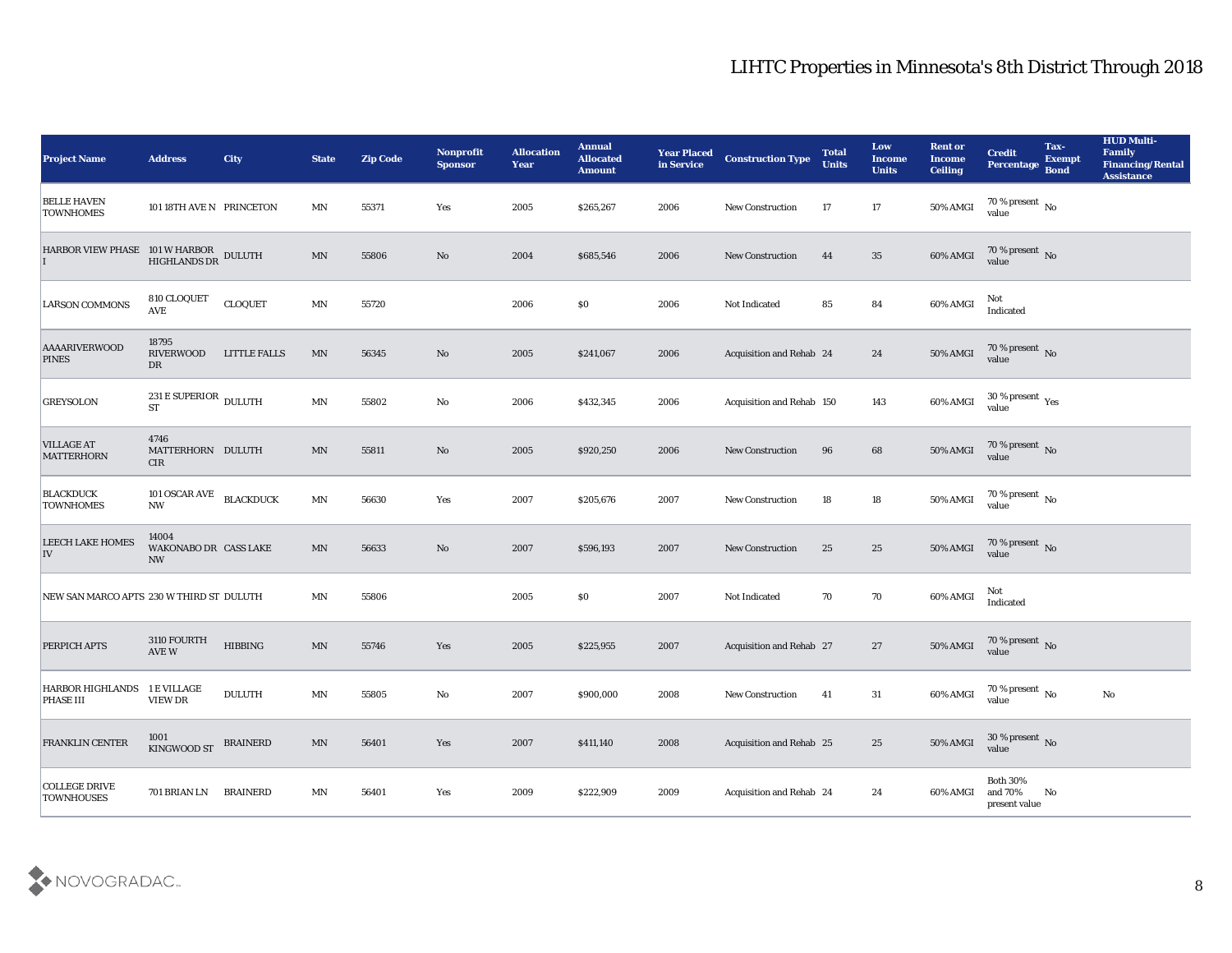| <b>Project Name</b>                                                                                           | <b>Address</b>                              | <b>City</b>         | <b>State</b>             | <b>Zip Code</b> | Nonprofit<br><b>Sponsor</b> | <b>Allocation</b><br><b>Year</b> | <b>Annual</b><br><b>Allocated</b><br><b>Amount</b> | <b>Year Placed</b><br>in Service | <b>Construction Type</b>        | <b>Total</b><br><b>Units</b> | Low<br><b>Income</b><br><b>Units</b> | <b>Rent or</b><br><b>Income</b><br><b>Ceiling</b> | <b>Credit</b><br><b>Percentage</b>            | Tax-<br><b>Exempt</b><br><b>Bond</b> | <b>HUD Multi-</b><br>Family<br><b>Financing/Rental</b><br><b>Assistance</b> |
|---------------------------------------------------------------------------------------------------------------|---------------------------------------------|---------------------|--------------------------|-----------------|-----------------------------|----------------------------------|----------------------------------------------------|----------------------------------|---------------------------------|------------------------------|--------------------------------------|---------------------------------------------------|-----------------------------------------------|--------------------------------------|-----------------------------------------------------------------------------|
| <b>BELLE HAVEN</b><br><b>TOWNHOMES</b>                                                                        | 101 18TH AVE N PRINCETON                    |                     | MN                       | 55371           | Yes                         | 2005                             | \$265,267                                          | 2006                             | <b>New Construction</b>         | 17                           | 17                                   | 50% AMGI                                          | 70 % present $\,$ No $\,$<br>value            |                                      |                                                                             |
| $\begin{tabular}{ll} HARBOR VIEW PHASE & 101 W HARBOR & DULUTH \\ I & HIGHLANDS DR & DULUTH \\ \end{tabular}$ |                                             |                     | $\ensuremath{\text{MN}}$ | 55806           | No                          | 2004                             | \$685,546                                          | 2006                             | <b>New Construction</b>         | 44                           | 35                                   | 60% AMGI                                          | $70\,\%$ present $\,$ No value                |                                      |                                                                             |
| <b>LARSON COMMONS</b>                                                                                         | 810 CLOQUET<br>AVE                          | <b>CLOQUET</b>      | $\mathbf{M} \mathbf{N}$  | 55720           |                             | 2006                             | \$0                                                | 2006                             | Not Indicated                   | 85                           | 84                                   | 60% AMGI                                          | Not<br>Indicated                              |                                      |                                                                             |
| <b>AAAARIVERWOOD</b><br><b>PINES</b>                                                                          | 18795<br><b>RIVERWOOD</b><br>DR             | <b>LITTLE FALLS</b> | $\mathbf{M} \mathbf{N}$  | 56345           | No                          | 2005                             | \$241,067                                          | 2006                             | <b>Acquisition and Rehab 24</b> |                              | 24                                   | 50% AMGI                                          | $70\,\%$ present $\,$ No value                |                                      |                                                                             |
| <b>GREYSOLON</b>                                                                                              | 231 E SUPERIOR DULUTH<br><b>ST</b>          |                     | MN                       | 55802           | No                          | 2006                             | \$432,345                                          | 2006                             | Acquisition and Rehab 150       |                              | 143                                  | 60% AMGI                                          | 30 % present $\,\rm \gamma_{\rm es}$<br>value |                                      |                                                                             |
| <b>VILLAGE AT</b><br><b>MATTERHORN</b>                                                                        | 4746<br>MATTERHORN DULUTH<br><b>CIR</b>     |                     | MN                       | 55811           | No                          | 2005                             | \$920,250                                          | 2006                             | <b>New Construction</b>         | 96                           | 68                                   | <b>50% AMGI</b>                                   | 70 % present $\sqrt{\ }$ No<br>value          |                                      |                                                                             |
| <b>BLACKDUCK</b><br><b>TOWNHOMES</b>                                                                          | 101 OSCAR AVE BLACKDUCK<br><b>NW</b>        |                     | $\mathbf{M} \mathbf{N}$  | 56630           | Yes                         | 2007                             | \$205,676                                          | 2007                             | <b>New Construction</b>         | 18                           | 18                                   | 50% AMGI                                          | $70\,\% \,present \over value$                |                                      |                                                                             |
| <b>LEECH LAKE HOMES</b><br>IV                                                                                 | 14004<br>WAKONABO DR CASS LAKE<br><b>NW</b> |                     | $\mathbf{M} \mathbf{N}$  | 56633           | No                          | 2007                             | \$596,193                                          | 2007                             | <b>New Construction</b>         | 25                           | 25                                   | 50% AMGI                                          | $70$ % present $${\rm No}$$ value             |                                      |                                                                             |
| NEW SAN MARCO APTS 230 W THIRD ST DULUTH                                                                      |                                             |                     | MN                       | 55806           |                             | 2005                             | \$0                                                | 2007                             | Not Indicated                   | 70                           | 70                                   | 60% AMGI                                          | Not<br>Indicated                              |                                      |                                                                             |
| PERPICH APTS                                                                                                  | 3110 FOURTH<br>$\operatorname{AVE}$ W       | <b>HIBBING</b>      | $\ensuremath{\text{MN}}$ | 55746           | Yes                         | 2005                             | \$225,955                                          | 2007                             | <b>Acquisition and Rehab 27</b> |                              | 27                                   | 50% AMGI                                          | $70$ % present $\,$ No $\,$ value $\,$        |                                      |                                                                             |
| HARBOR HIGHLANDS 1 E VILLAGE<br><b>PHASE III</b>                                                              | VIEW DR                                     | <b>DULUTH</b>       | MN                       | 55805           | No                          | 2007                             | \$900,000                                          | 2008                             | <b>New Construction</b>         | 41                           | 31                                   | 60% AMGI                                          | 70 % present $\sqrt{\ }$<br>value             |                                      | No                                                                          |
| <b>FRANKLIN CENTER</b>                                                                                        | 1001<br>KINGWOOD ST                         | <b>BRAINERD</b>     | $\mathbf{M} \mathbf{N}$  | 56401           | Yes                         | 2007                             | \$411,140                                          | 2008                             | Acquisition and Rehab 25        |                              | 25                                   | 50% AMGI                                          | $30\,\%$ present $\,$ No value                |                                      |                                                                             |
| <b>COLLEGE DRIVE</b><br><b>TOWNHOUSES</b>                                                                     | 701 BRIAN LN                                | <b>BRAINERD</b>     | $\mathbf{M} \mathbf{N}$  | 56401           | Yes                         | 2009                             | \$222,909                                          | 2009                             | Acquisition and Rehab 24        |                              | 24                                   | 60% AMGI                                          | Both $30\%$<br>and $70\%$<br>present value    | $\mathbf{N}\mathbf{o}$               |                                                                             |

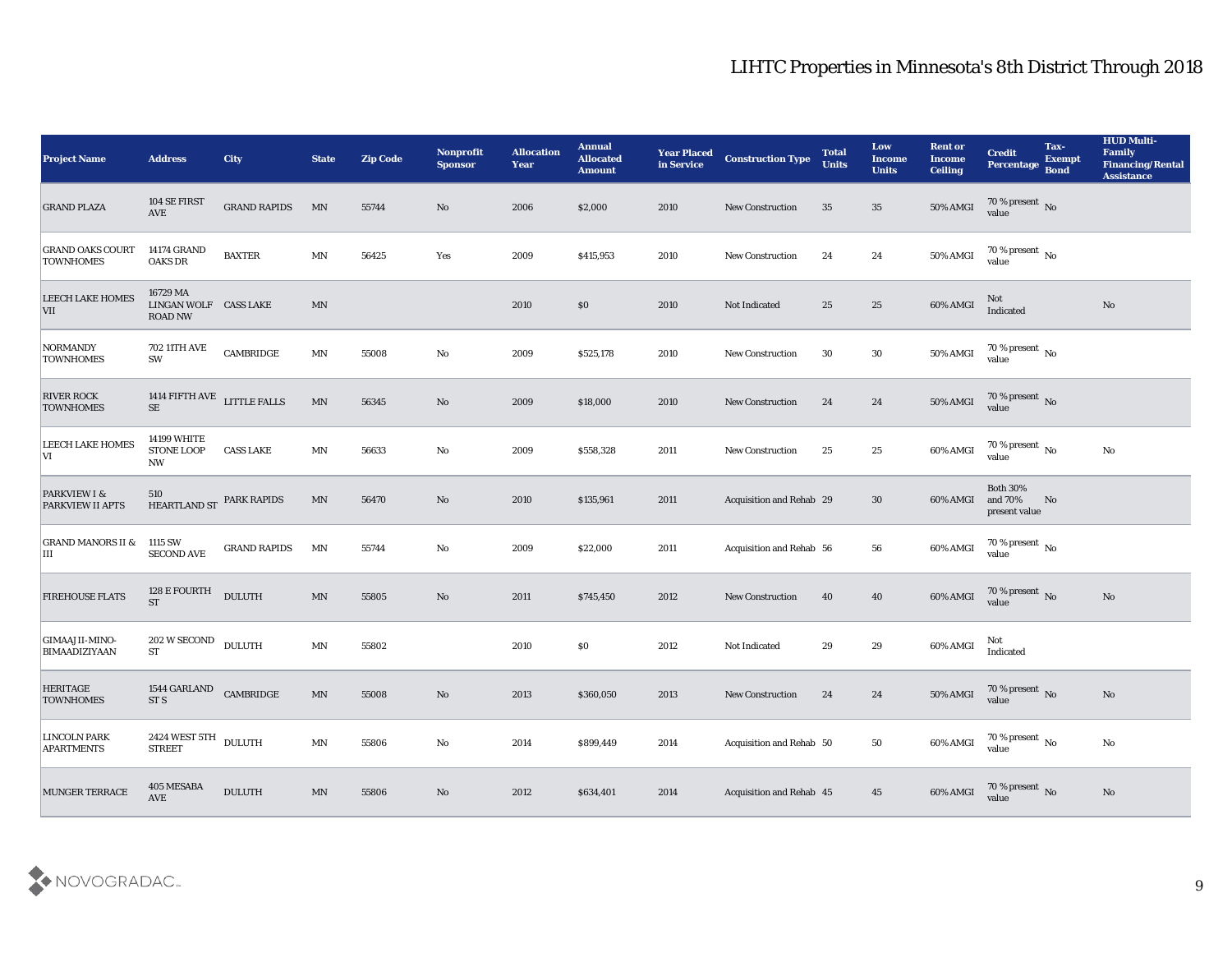| <b>Project Name</b>                         | <b>Address</b>                                       | <b>City</b>         | <b>State</b>             | <b>Zip Code</b> | Nonprofit<br><b>Sponsor</b> | <b>Allocation</b><br><b>Year</b> | <b>Annual</b><br><b>Allocated</b><br><b>Amount</b> | <b>Year Placed<br/>in Service</b> | <b>Construction Type</b> | <b>Total</b><br><b>Units</b> | Low<br><b>Income</b><br><b>Units</b> | <b>Rent or</b><br><b>Income</b><br><b>Ceiling</b> | <b>Credit</b><br><b>Percentage</b>          | Tax-<br><b>Exempt</b><br>Bond | <b>HUD Multi-</b><br>Family<br><b>Financing/Rental</b><br><b>Assistance</b> |
|---------------------------------------------|------------------------------------------------------|---------------------|--------------------------|-----------------|-----------------------------|----------------------------------|----------------------------------------------------|-----------------------------------|--------------------------|------------------------------|--------------------------------------|---------------------------------------------------|---------------------------------------------|-------------------------------|-----------------------------------------------------------------------------|
| <b>GRAND PLAZA</b>                          | 104 SE FIRST<br>$\operatorname{AVE}$                 | <b>GRAND RAPIDS</b> | MN                       | 55744           | No                          | 2006                             | \$2,000                                            | 2010                              | <b>New Construction</b>  | 35                           | 35                                   | 50% AMGI                                          | $70\,\%$ present $\,$ No $\,$ value         |                               |                                                                             |
| <b>GRAND OAKS COURT</b><br><b>TOWNHOMES</b> | <b>14174 GRAND</b><br><b>OAKS DR</b>                 | <b>BAXTER</b>       | MN                       | 56425           | Yes                         | 2009                             | \$415,953                                          | 2010                              | <b>New Construction</b>  | 24                           | 24                                   | 50% AMGI                                          | $70\,\%$ present $\;$ No value              |                               |                                                                             |
| <b>LEECH LAKE HOMES</b><br><b>VII</b>       | 16729 MA<br>LINGAN WOLF CASS LAKE<br><b>ROAD NW</b>  |                     | $\mathbf{M} \mathbf{N}$  |                 |                             | 2010                             | \$0                                                | 2010                              | Not Indicated            | 25                           | 25                                   | 60% AMGI                                          | Not<br>Indicated                            |                               | $\mathbf{N}\mathbf{o}$                                                      |
| NORMANDY<br><b>TOWNHOMES</b>                | 702 11TH AVE<br>SW                                   | CAMBRIDGE           | $\ensuremath{\text{MN}}$ | 55008           | No                          | 2009                             | \$525,178                                          | 2010                              | <b>New Construction</b>  | 30                           | 30                                   | 50% AMGI                                          | $70\,\%$ present $\,$ No value              |                               |                                                                             |
| <b>RIVER ROCK</b><br><b>TOWNHOMES</b>       | 1414 FIFTH AVE ${\rm LITILE\; FALSE}$ SE             |                     | $\ensuremath{\text{MN}}$ | 56345           | $\mathbf{N}\mathbf{o}$      | 2009                             | \$18,000                                           | 2010                              | <b>New Construction</b>  | 24                           | 24                                   | 50% AMGI                                          | $70\,\%$ present $\,$ No value              |                               |                                                                             |
| <b>LEECH LAKE HOMES</b><br> V               | <b>14199 WHITE</b><br><b>STONE LOOP</b><br><b>NW</b> | <b>CASS LAKE</b>    | MN                       | 56633           | No                          | 2009                             | \$558,328                                          | 2011                              | <b>New Construction</b>  | 25                           | 25                                   | 60% AMGI                                          | $70\,\%$ present $\,$ No value              |                               | $\mathbf{N}\mathbf{o}$                                                      |
| PARKVIEW I &<br><b>PARKVIEW II APTS</b>     | 510<br>HEARTLAND ST PARK RAPIDS                      |                     | $\mathbf{M} \mathbf{N}$  | 56470           | No                          | 2010                             | \$135,961                                          | 2011                              | Acquisition and Rehab 29 |                              | 30                                   | 60% AMGI                                          | <b>Both 30%</b><br>and 70%<br>present value | N <sub>0</sub>                |                                                                             |
| <b>GRAND MANORS II &amp;</b><br>IШ          | 1115 SW<br><b>SECOND AVE</b>                         | <b>GRAND RAPIDS</b> | MN                       | 55744           | No                          | 2009                             | \$22,000                                           | 2011                              | Acquisition and Rehab 56 |                              | 56                                   | 60% AMGI                                          | $70\,\%$ present $\,$ No value              |                               |                                                                             |
| <b>FIREHOUSE FLATS</b>                      | 128 E FOURTH<br><b>ST</b>                            | <b>DULUTH</b>       | $\mathbf{M} \mathbf{N}$  | 55805           | $\mathbf{N}\mathbf{o}$      | 2011                             | \$745,450                                          | 2012                              | New Construction         | 40                           | 40                                   | 60% AMGI                                          | $70\,\%$ present $\,$ No value              |                               | $\mathbf{N}\mathbf{o}$                                                      |
| GIMAAJII-MINO-<br>BIMAADIZIYAAN             | 202 W SECOND<br>$\operatorname{ST}$                  | <b>DULUTH</b>       | $\mathbf{M} \mathbf{N}$  | 55802           |                             | 2010                             | \$0\$                                              | 2012                              | Not Indicated            | 29                           | 29                                   | 60% AMGI                                          | Not<br>Indicated                            |                               |                                                                             |
| <b>HERITAGE</b><br><b>TOWNHOMES</b>         | 1544 GARLAND CAMBRIDGE<br>ST <sub>S</sub>            |                     | $\mbox{MN}$              | 55008           | No                          | 2013                             | \$360,050                                          | 2013                              | New Construction         | 24                           | 24                                   | 50% AMGI                                          | $70\,\%$ present $\,$ No value              |                               | No                                                                          |
| <b>LINCOLN PARK</b><br><b>APARTMENTS</b>    | 2424 WEST 5TH<br><b>STREET</b>                       | <b>DULUTH</b>       | $\mathbf{M} \mathbf{N}$  | 55806           | $\mathbf {No}$              | 2014                             | \$899,449                                          | 2014                              | Acquisition and Rehab 50 |                              | ${\bf 50}$                           | 60% AMGI                                          | $70$ % present $_{\rm{No}}$                 |                               | $\rm No$                                                                    |
| <b>MUNGER TERRACE</b>                       | 405 MESABA<br><b>AVE</b>                             | <b>DULUTH</b>       | $\mathbf{M} \mathbf{N}$  | 55806           | $\rm\thinspace No$          | $2012\,$                         | \$634,401                                          | 2014                              | Acquisition and Rehab 45 |                              | 45                                   | 60% AMGI                                          | $70\,\%$ present $\,$ No value              |                               | $\mathbf{N}\mathbf{o}$                                                      |

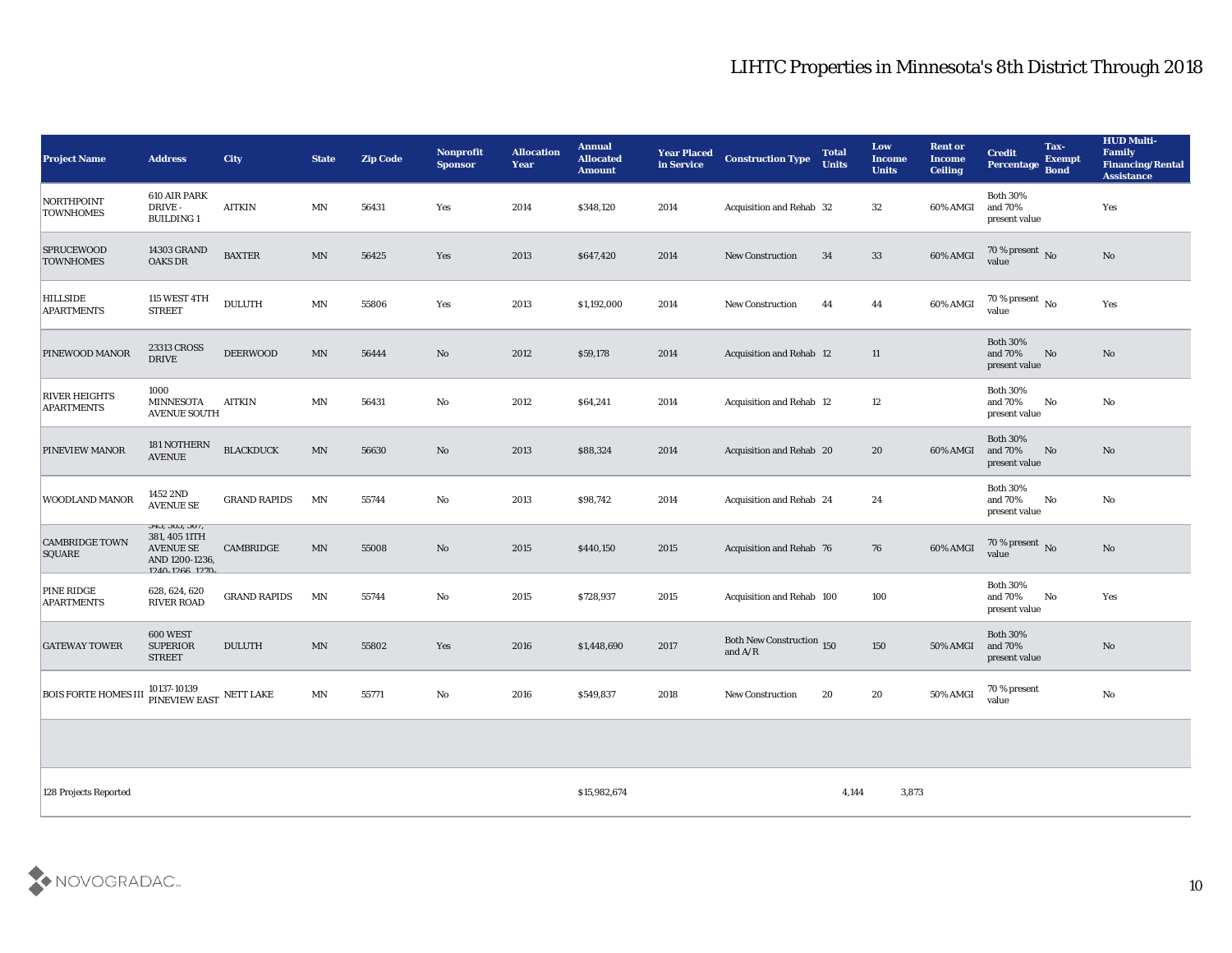| <b>Project Name</b>                          | <b>Address</b>                                                                          | <b>City</b>         | <b>State</b>             | <b>Zip Code</b> | Nonprofit<br><b>Sponsor</b> | <b>Allocation</b><br><b>Year</b> | <b>Annual</b><br><b>Allocated</b><br><b>Amount</b> | <b>Year Placed</b><br>in Service | <b>Construction Type</b>                      | <b>Total</b><br><b>Units</b> | Low<br>Income<br><b>Units</b> | <b>Rent or</b><br><b>Income</b><br><b>Ceiling</b> | <b>Credit</b><br>Percentage Bond            | Tax-<br><b>Exempt</b>  | <b>HUD Multi-</b><br>Family<br><b>Financing/Rental</b><br><b>Assistance</b> |
|----------------------------------------------|-----------------------------------------------------------------------------------------|---------------------|--------------------------|-----------------|-----------------------------|----------------------------------|----------------------------------------------------|----------------------------------|-----------------------------------------------|------------------------------|-------------------------------|---------------------------------------------------|---------------------------------------------|------------------------|-----------------------------------------------------------------------------|
| NORTHPOINT<br><b>TOWNHOMES</b>               | 610 AIR PARK<br>DRIVE-<br><b>BUILDING1</b>                                              | <b>AITKIN</b>       | MN                       | 56431           | Yes                         | 2014                             | \$348,120                                          | 2014                             | <b>Acquisition and Rehab 32</b>               |                              | 32                            | 60% AMGI                                          | <b>Both 30%</b><br>and 70%<br>present value |                        | Yes                                                                         |
| <b>SPRUCEWOOD</b><br><b>TOWNHOMES</b>        | <b>14303 GRAND</b><br><b>OAKS DR</b>                                                    | <b>BAXTER</b>       | MN                       | 56425           | Yes                         | 2013                             | \$647,420                                          | 2014                             | <b>New Construction</b>                       | 34                           | 33                            | 60% AMGI                                          | $70\,\%$ present $\,$ No value              |                        | No                                                                          |
| <b>HILLSIDE</b><br><b>APARTMENTS</b>         | <b>115 WEST 4TH</b><br><b>STREET</b>                                                    | <b>DULUTH</b>       | $\ensuremath{\text{MN}}$ | 55806           | Yes                         | 2013                             | \$1,192,000                                        | 2014                             | <b>New Construction</b>                       | 44                           | 44                            | 60% AMGI                                          | 70 % present $\sqrt{\ }$ No<br>value        |                        | Yes                                                                         |
| PINEWOOD MANOR                               | 23313 CROSS<br><b>DRIVE</b>                                                             | <b>DEERWOOD</b>     | MN                       | 56444           | No                          | 2012                             | \$59,178                                           | 2014                             | <b>Acquisition and Rehab 12</b>               |                              | 11                            |                                                   | <b>Both 30%</b><br>and 70%<br>present value | No                     | No                                                                          |
| <b>RIVER HEIGHTS</b><br><b>APARTMENTS</b>    | 1000<br><b>MINNESOTA</b><br><b>AVENUE SOUTH</b>                                         | <b>AITKIN</b>       | MN                       | 56431           | $\mathbf{No}$               | 2012                             | \$64,241                                           | 2014                             | <b>Acquisition and Rehab 12</b>               |                              | 12                            |                                                   | <b>Both 30%</b><br>and 70%<br>present value | $\mathbf{N}\mathbf{o}$ | No                                                                          |
| <b>PINEVIEW MANOR</b>                        | 181 NOTHERN<br><b>AVENUE</b>                                                            | <b>BLACKDUCK</b>    | MN                       | 56630           | No                          | 2013                             | \$88,324                                           | 2014                             | Acquisition and Rehab 20                      |                              | 20                            | 60% AMGI                                          | <b>Both 30%</b><br>and 70%<br>present value | No                     | No                                                                          |
| <b>WOODLAND MANOR</b>                        | 1452 2ND<br><b>AVENUE SE</b>                                                            | <b>GRAND RAPIDS</b> | MN                       | 55744           | No                          | 2013                             | \$98,742                                           | 2014                             | <b>Acquisition and Rehab 24</b>               |                              | 24                            |                                                   | <b>Both 30%</b><br>and 70%<br>present value | No                     | No                                                                          |
| <b>CAMBRIDGE TOWN</b><br>SQUARE              | 343, 303, 307,<br>381, 405 11TH<br><b>AVENUE SE</b><br>AND 1200-1236,<br>1940-1988 1970 | CAMBRIDGE           | MN                       | 55008           | No                          | 2015                             | \$440,150                                          | 2015                             | <b>Acquisition and Rehab 76</b>               |                              | 76                            | 60% AMGI                                          | 70 % present No<br>value                    |                        | No                                                                          |
| PINE RIDGE<br><b>APARTMENTS</b>              | 628, 624, 620<br>RIVER ROAD                                                             | <b>GRAND RAPIDS</b> | MN                       | 55744           | No                          | 2015                             | \$728,937                                          | 2015                             | Acquisition and Rehab 100                     |                              | 100                           |                                                   | <b>Both 30%</b><br>and 70%<br>present value | No                     | Yes                                                                         |
| <b>GATEWAY TOWER</b>                         | 600 WEST<br><b>SUPERIOR</b><br><b>STREET</b>                                            | <b>DULUTH</b>       | MN                       | 55802           | Yes                         | 2016                             | \$1,448,690                                        | 2017                             | <b>Both New Construction 150</b><br>and $A/R$ |                              | 150                           | 50% AMGI                                          | <b>Both 30%</b><br>and 70%<br>present value |                        | No                                                                          |
| BOIS FORTE HOMES III PINEVIEW EAST NETT LAKE | 10137-10139                                                                             |                     | MN                       | 55771           | No                          | 2016                             | \$549,837                                          | 2018                             | <b>New Construction</b>                       | 20                           | 20                            | 50% AMGI                                          | 70 % present<br>value                       |                        | $\mathbf{N}\mathbf{o}$                                                      |
|                                              |                                                                                         |                     |                          |                 |                             |                                  |                                                    |                                  |                                               |                              |                               |                                                   |                                             |                        |                                                                             |
| 128 Projects Reported                        |                                                                                         |                     |                          |                 |                             |                                  | \$15,982,674                                       |                                  |                                               | 4,144                        | 3,873                         |                                                   |                                             |                        |                                                                             |